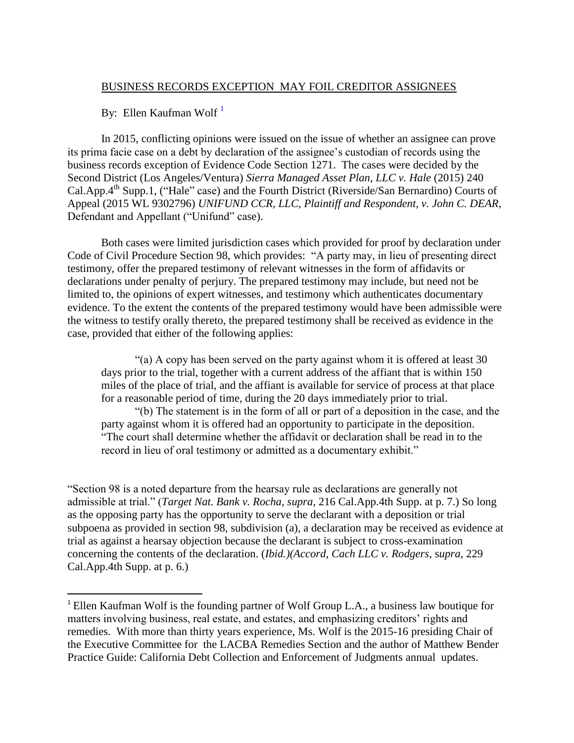## BUSINESS RECORDS EXCEPTION MAY FOIL CREDITOR ASSIGNEES

By: Ellen Kaufman Wolf<sup>1</sup>

 $\overline{\phantom{a}}$ 

In 2015, conflicting opinions were issued on the issue of whether an assignee can prove its prima facie case on a debt by declaration of the assignee's custodian of records using the business records exception of Evidence Code Section 1271. The cases were decided by the Second District (Los Angeles/Ventura) *Sierra Managed Asset Plan, LLC v. Hale* (2015) 240 Cal.App.4<sup>th</sup> Supp.1, ("Hale" case) and the Fourth District (Riverside/San Bernardino) Courts of Appeal (2015 WL 9302796) *UNIFUND CCR, LLC, Plaintiff and Respondent, v. John C. DEAR*, Defendant and Appellant ("Unifund" case).

Both cases were limited jurisdiction cases which provided for proof by declaration under Code of Civil Procedure Section 98, which provides: "A party may, in lieu of presenting direct testimony, offer the prepared testimony of relevant witnesses in the form of affidavits or declarations under penalty of perjury. The prepared testimony may include, but need not be limited to, the opinions of expert witnesses, and testimony which authenticates documentary evidence. To the extent the contents of the prepared testimony would have been admissible were the witness to testify orally thereto, the prepared testimony shall be received as evidence in the case, provided that either of the following applies:

"(a) A copy has been served on the party against whom it is offered at least 30 days prior to the trial, together with a current address of the affiant that is within 150 miles of the place of trial, and the affiant is available for service of process at that place for a reasonable period of time, during the 20 days immediately prior to trial.

"(b) The statement is in the form of all or part of a deposition in the case, and the party against whom it is offered had an opportunity to participate in the deposition. "The court shall determine whether the affidavit or declaration shall be read in to the record in lieu of oral testimony or admitted as a documentary exhibit."

"Section 98 is a noted departure from the hearsay rule as declarations are generally not admissible at trial." (*Target Nat. Bank v. Rocha, supra*, 216 Cal.App.4th Supp. at p. 7.) So long as the opposing party has the opportunity to serve the declarant with a deposition or trial subpoena as provided in section 98, subdivision (a), a declaration may be received as evidence at trial as against a hearsay objection because the declarant is subject to cross-examination concerning the contents of the declaration. (*Ibid.)(Accord, Cach LLC v. Rodgers*, s*upra*, 229 Cal.App.4th Supp. at p. 6.)

<sup>&</sup>lt;sup>1</sup> Ellen Kaufman Wolf is the founding partner of Wolf Group L.A., a business law boutique for matters involving business, real estate, and estates, and emphasizing creditors' rights and remedies. With more than thirty years experience, Ms. Wolf is the 2015-16 presiding Chair of the Executive Committee for the LACBA Remedies Section and the author of Matthew Bender Practice Guide: California Debt Collection and Enforcement of Judgments annual updates.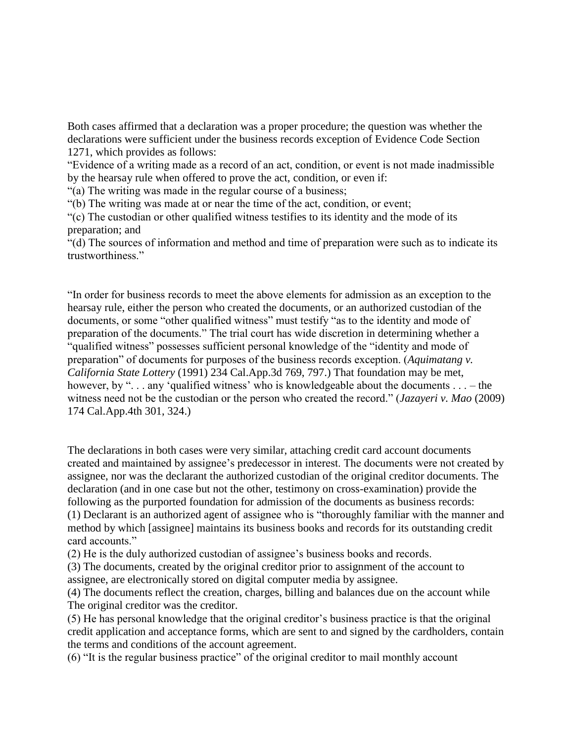Both cases affirmed that a declaration was a proper procedure; the question was whether the declarations were sufficient under the business records exception of Evidence Code Section 1271, which provides as follows:

"Evidence of a writing made as a record of an act, condition, or event is not made inadmissible by the hearsay rule when offered to prove the act, condition, or even if:

"(a) The writing was made in the regular course of a business;

"(b) The writing was made at or near the time of the act, condition, or event;

"(c) The custodian or other qualified witness testifies to its identity and the mode of its preparation; and

"(d) The sources of information and method and time of preparation were such as to indicate its trustworthiness."

"In order for business records to meet the above elements for admission as an exception to the hearsay rule, either the person who created the documents, or an authorized custodian of the documents, or some "other qualified witness" must testify "as to the identity and mode of preparation of the documents." The trial court has wide discretion in determining whether a "qualified witness" possesses sufficient personal knowledge of the "identity and mode of preparation" of documents for purposes of the business records exception. (*Aquimatang v. California State Lottery* (1991) 234 Cal.App.3d 769, 797.) That foundation may be met, however, by "... any 'qualified witness' who is knowledgeable about the documents ... – the witness need not be the custodian or the person who created the record." (*Jazayeri v. Mao* (2009) 174 Cal.App.4th 301, 324.)

The declarations in both cases were very similar, attaching credit card account documents created and maintained by assignee's predecessor in interest. The documents were not created by assignee, nor was the declarant the authorized custodian of the original creditor documents. The declaration (and in one case but not the other, testimony on cross-examination) provide the following as the purported foundation for admission of the documents as business records: (1) Declarant is an authorized agent of assignee who is "thoroughly familiar with the manner and method by which [assignee] maintains its business books and records for its outstanding credit card accounts."

(2) He is the duly authorized custodian of assignee's business books and records.

(3) The documents, created by the original creditor prior to assignment of the account to assignee, are electronically stored on digital computer media by assignee.

(4) The documents reflect the creation, charges, billing and balances due on the account while The original creditor was the creditor.

(5) He has personal knowledge that the original creditor's business practice is that the original credit application and acceptance forms, which are sent to and signed by the cardholders, contain the terms and conditions of the account agreement.

(6) "It is the regular business practice" of the original creditor to mail monthly account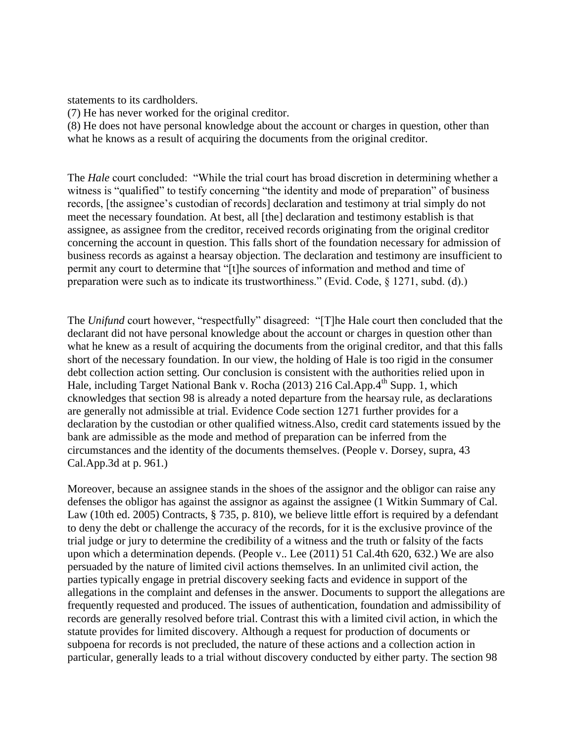statements to its cardholders.

(7) He has never worked for the original creditor.

(8) He does not have personal knowledge about the account or charges in question, other than what he knows as a result of acquiring the documents from the original creditor.

The *Hale* court concluded: "While the trial court has broad discretion in determining whether a witness is "qualified" to testify concerning "the identity and mode of preparation" of business records, [the assignee's custodian of records] declaration and testimony at trial simply do not meet the necessary foundation. At best, all [the] declaration and testimony establish is that assignee, as assignee from the creditor, received records originating from the original creditor concerning the account in question. This falls short of the foundation necessary for admission of business records as against a hearsay objection. The declaration and testimony are insufficient to permit any court to determine that "[t]he sources of information and method and time of preparation were such as to indicate its trustworthiness." (Evid. Code, § 1271, subd. (d).)

The *Unifund* court however, "respectfully" disagreed: "[T]he Hale court then concluded that the declarant did not have personal knowledge about the account or charges in question other than what he knew as a result of acquiring the documents from the original creditor, and that this falls short of the necessary foundation. In our view, the holding of Hale is too rigid in the consumer debt collection action setting. Our conclusion is consistent with the authorities relied upon in Hale, including Target National Bank v. Rocha (2013) 216 Cal.App.4<sup>th</sup> Supp. 1, which cknowledges that section 98 is already a noted departure from the hearsay rule, as declarations are generally not admissible at trial. Evidence Code section 1271 further provides for a declaration by the custodian or other qualified witness.Also, credit card statements issued by the bank are admissible as the mode and method of preparation can be inferred from the circumstances and the identity of the documents themselves. (People v. Dorsey, supra, 43 Cal.App.3d at p. 961.)

Moreover, because an assignee stands in the shoes of the assignor and the obligor can raise any defenses the obligor has against the assignor as against the assignee (1 Witkin Summary of Cal. Law (10th ed. 2005) Contracts, § 735, p. 810), we believe little effort is required by a defendant to deny the debt or challenge the accuracy of the records, for it is the exclusive province of the trial judge or jury to determine the credibility of a witness and the truth or falsity of the facts upon which a determination depends. (People v.. Lee (2011) 51 Cal.4th 620, 632.) We are also persuaded by the nature of limited civil actions themselves. In an unlimited civil action, the parties typically engage in pretrial discovery seeking facts and evidence in support of the allegations in the complaint and defenses in the answer. Documents to support the allegations are frequently requested and produced. The issues of authentication, foundation and admissibility of records are generally resolved before trial. Contrast this with a limited civil action, in which the statute provides for limited discovery. Although a request for production of documents or subpoena for records is not precluded, the nature of these actions and a collection action in particular, generally leads to a trial without discovery conducted by either party. The section 98